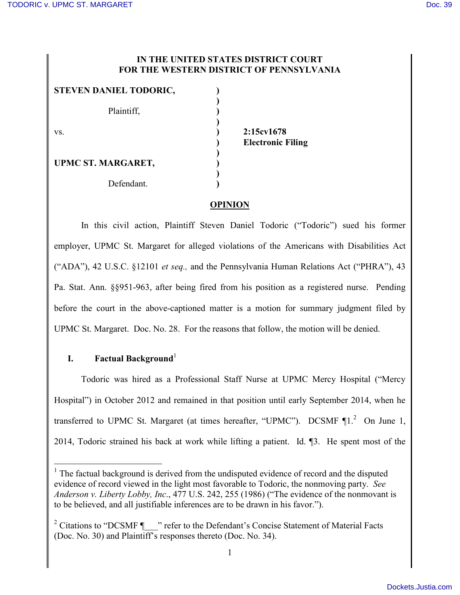### **IN THE UNITED STATES DISTRICT COURT FOR THE WESTERN DISTRICT OF PENNSYLVANIA**

| STEVEN DANIEL TODORIC, |  |
|------------------------|--|
| Plaintiff,             |  |
| VS.                    |  |
| UPMC ST. MARGARET,     |  |
| Defendant.             |  |

vs. **) 2:15cv1678 ) Electronic Filing**

# **OPINION**

In this civil action, Plaintiff Steven Daniel Todoric ("Todoric") sued his former employer, UPMC St. Margaret for alleged violations of the Americans with Disabilities Act ("ADA"), 42 U.S.C. §12101 *et seq.,* and the Pennsylvania Human Relations Act ("PHRA"), 43 Pa. Stat. Ann. §§951-963, after being fired from his position as a registered nurse. Pending before the court in the above-captioned matter is a motion for summary judgment filed by UPMC St. Margaret. Doc. No. 28. For the reasons that follow, the motion will be denied.

# **I. Factual Background**

 $\overline{a}$ 

Todoric was hired as a Professional Staff Nurse at UPMC Mercy Hospital ("Mercy Hospital") in October 2012 and remained in that position until early September 2014, when he transferred to UPMC St. Margaret (at times hereafter, "UPMC"). DCSMF  $\P1$ <sup>2</sup> On June 1, 2014, Todoric strained his back at work while lifting a patient. Id. ¶3. He spent most of the

<sup>&</sup>lt;sup>1</sup> The factual background is derived from the undisputed evidence of record and the disputed evidence of record viewed in the light most favorable to Todoric, the nonmoving party. *See Anderson v. Liberty Lobby, Inc*., 477 U.S. 242, 255 (1986) ("The evidence of the nonmovant is to be believed, and all justifiable inferences are to be drawn in his favor.").

<sup>&</sup>lt;sup>2</sup> Citations to "DCSMF  $\P$  " refer to the Defendant's Concise Statement of Material Facts (Doc. No. 30) and Plaintiff's responses thereto (Doc. No. 34).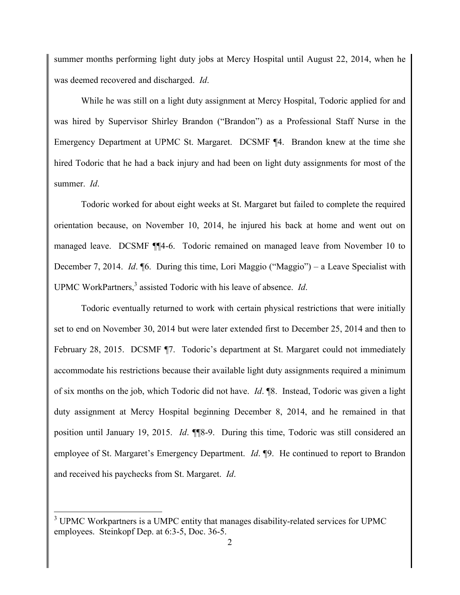summer months performing light duty jobs at Mercy Hospital until August 22, 2014, when he was deemed recovered and discharged. *Id*.

While he was still on a light duty assignment at Mercy Hospital, Todoric applied for and was hired by Supervisor Shirley Brandon ("Brandon") as a Professional Staff Nurse in the Emergency Department at UPMC St. Margaret. DCSMF ¶4. Brandon knew at the time she hired Todoric that he had a back injury and had been on light duty assignments for most of the summer. *Id*.

Todoric worked for about eight weeks at St. Margaret but failed to complete the required orientation because, on November 10, 2014, he injured his back at home and went out on managed leave. DCSMF ¶¶4-6. Todoric remained on managed leave from November 10 to December 7, 2014. *Id*. ¶6. During this time, Lori Maggio ("Maggio") – a Leave Specialist with UPMC WorkPartners,<sup>3</sup> assisted Todoric with his leave of absence. *Id*.

Todoric eventually returned to work with certain physical restrictions that were initially set to end on November 30, 2014 but were later extended first to December 25, 2014 and then to February 28, 2015. DCSMF ¶7. Todoric's department at St. Margaret could not immediately accommodate his restrictions because their available light duty assignments required a minimum of six months on the job, which Todoric did not have. *Id*. ¶8. Instead, Todoric was given a light duty assignment at Mercy Hospital beginning December 8, 2014, and he remained in that position until January 19, 2015. *Id*. ¶¶8-9. During this time, Todoric was still considered an employee of St. Margaret's Emergency Department. *Id*. ¶9. He continued to report to Brandon and received his paychecks from St. Margaret. *Id*.

 $\overline{a}$ 

<sup>&</sup>lt;sup>3</sup> UPMC Workpartners is a UMPC entity that manages disability-related services for UPMC employees. Steinkopf Dep. at 6:3-5, Doc. 36-5.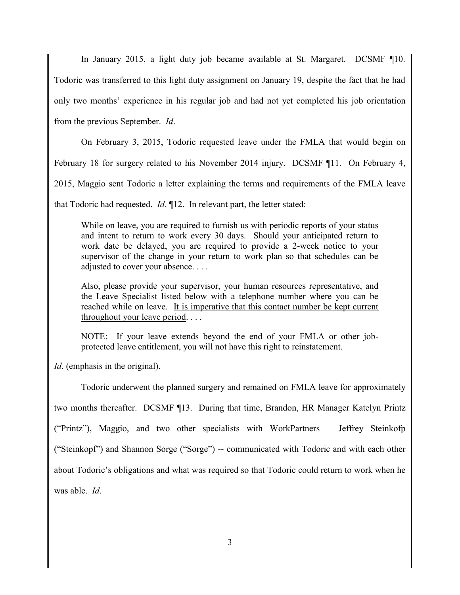In January 2015, a light duty job became available at St. Margaret. DCSMF ¶10. Todoric was transferred to this light duty assignment on January 19, despite the fact that he had only two months' experience in his regular job and had not yet completed his job orientation from the previous September. *Id*.

On February 3, 2015, Todoric requested leave under the FMLA that would begin on

February 18 for surgery related to his November 2014 injury. DCSMF ¶11. On February 4,

2015, Maggio sent Todoric a letter explaining the terms and requirements of the FMLA leave

that Todoric had requested. *Id*. ¶12. In relevant part, the letter stated:

While on leave, you are required to furnish us with periodic reports of your status and intent to return to work every 30 days. Should your anticipated return to work date be delayed, you are required to provide a 2-week notice to your supervisor of the change in your return to work plan so that schedules can be adjusted to cover your absence. . . .

Also, please provide your supervisor, your human resources representative, and the Leave Specialist listed below with a telephone number where you can be reached while on leave. It is imperative that this contact number be kept current throughout your leave period. . . .

NOTE: If your leave extends beyond the end of your FMLA or other jobprotected leave entitlement, you will not have this right to reinstatement.

*Id*. (emphasis in the original).

Todoric underwent the planned surgery and remained on FMLA leave for approximately two months thereafter. DCSMF ¶13. During that time, Brandon, HR Manager Katelyn Printz ("Printz"), Maggio, and two other specialists with WorkPartners – Jeffrey Steinkofp ("Steinkopf") and Shannon Sorge ("Sorge") -- communicated with Todoric and with each other about Todoric's obligations and what was required so that Todoric could return to work when he was able. *Id*.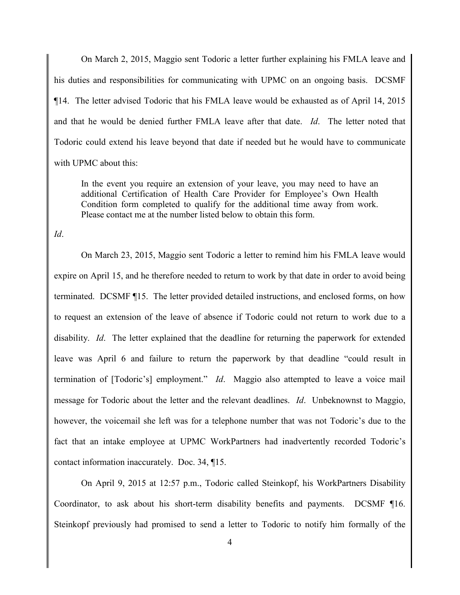On March 2, 2015, Maggio sent Todoric a letter further explaining his FMLA leave and his duties and responsibilities for communicating with UPMC on an ongoing basis. DCSMF ¶14. The letter advised Todoric that his FMLA leave would be exhausted as of April 14, 2015 and that he would be denied further FMLA leave after that date. *Id*. The letter noted that Todoric could extend his leave beyond that date if needed but he would have to communicate with UPMC about this:

In the event you require an extension of your leave, you may need to have an additional Certification of Health Care Provider for Employee's Own Health Condition form completed to qualify for the additional time away from work. Please contact me at the number listed below to obtain this form.

*Id*.

On March 23, 2015, Maggio sent Todoric a letter to remind him his FMLA leave would expire on April 15, and he therefore needed to return to work by that date in order to avoid being terminated. DCSMF ¶15. The letter provided detailed instructions, and enclosed forms, on how to request an extension of the leave of absence if Todoric could not return to work due to a disability. *Id*. The letter explained that the deadline for returning the paperwork for extended leave was April 6 and failure to return the paperwork by that deadline "could result in termination of [Todoric's] employment." *Id*. Maggio also attempted to leave a voice mail message for Todoric about the letter and the relevant deadlines. *Id*. Unbeknownst to Maggio, however, the voicemail she left was for a telephone number that was not Todoric's due to the fact that an intake employee at UPMC WorkPartners had inadvertently recorded Todoric's contact information inaccurately. Doc. 34, ¶15.

On April 9, 2015 at 12:57 p.m., Todoric called Steinkopf, his WorkPartners Disability Coordinator, to ask about his short-term disability benefits and payments. DCSMF ¶16. Steinkopf previously had promised to send a letter to Todoric to notify him formally of the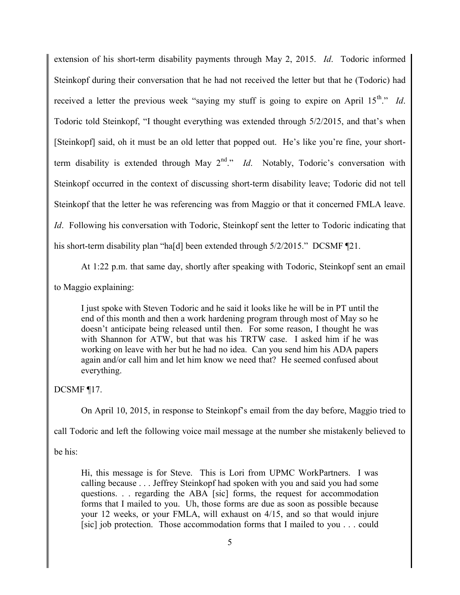extension of his short-term disability payments through May 2, 2015. *Id*. Todoric informed Steinkopf during their conversation that he had not received the letter but that he (Todoric) had received a letter the previous week "saying my stuff is going to expire on April 15<sup>th</sup>." *Id*. Todoric told Steinkopf, "I thought everything was extended through 5/2/2015, and that's when [Steinkopf] said, oh it must be an old letter that popped out. He's like you're fine, your shortterm disability is extended through May  $2<sup>nd</sup>$ ." *Id*. Notably, Todoric's conversation with Steinkopf occurred in the context of discussing short-term disability leave; Todoric did not tell Steinkopf that the letter he was referencing was from Maggio or that it concerned FMLA leave. *Id.* Following his conversation with Todoric, Steinkopf sent the letter to Todoric indicating that his short-term disability plan "ha[d] been extended through  $5/2/2015$ ." DCSMF [21.

At 1:22 p.m. that same day, shortly after speaking with Todoric, Steinkopf sent an email

to Maggio explaining:

I just spoke with Steven Todoric and he said it looks like he will be in PT until the end of this month and then a work hardening program through most of May so he doesn't anticipate being released until then. For some reason, I thought he was with Shannon for ATW, but that was his TRTW case. I asked him if he was working on leave with her but he had no idea. Can you send him his ADA papers again and/or call him and let him know we need that? He seemed confused about everything.

DCSMF ¶17.

On April 10, 2015, in response to Steinkopf's email from the day before, Maggio tried to

call Todoric and left the following voice mail message at the number she mistakenly believed to

be his:

Hi, this message is for Steve. This is Lori from UPMC WorkPartners. I was calling because . . . Jeffrey Steinkopf had spoken with you and said you had some questions. . . regarding the ABA [sic] forms, the request for accommodation forms that I mailed to you. Uh, those forms are due as soon as possible because your 12 weeks, or your FMLA, will exhaust on 4/15, and so that would injure [sic] job protection. Those accommodation forms that I mailed to you . . . could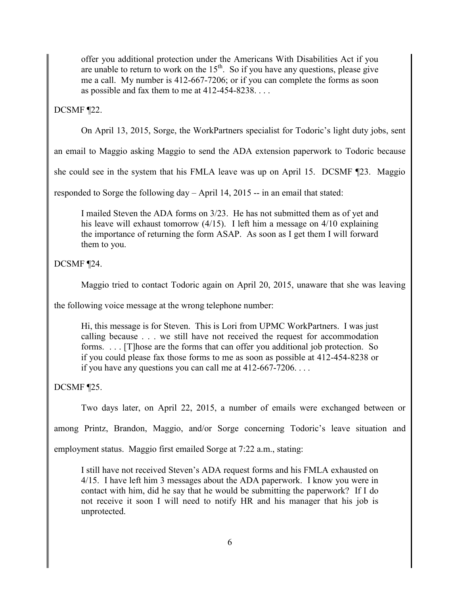offer you additional protection under the Americans With Disabilities Act if you are unable to return to work on the  $15<sup>th</sup>$ . So if you have any questions, please give me a call. My number is 412-667-7206; or if you can complete the forms as soon as possible and fax them to me at 412-454-8238. . . .

DCSMF ¶22.

On April 13, 2015, Sorge, the WorkPartners specialist for Todoric's light duty jobs, sent

an email to Maggio asking Maggio to send the ADA extension paperwork to Todoric because

she could see in the system that his FMLA leave was up on April 15. DCSMF ¶23. Maggio

responded to Sorge the following day – April 14, 2015 -- in an email that stated:

I mailed Steven the ADA forms on 3/23. He has not submitted them as of yet and his leave will exhaust tomorrow (4/15). I left him a message on 4/10 explaining the importance of returning the form ASAP. As soon as I get them I will forward them to you.

DCSMF ¶24.

Maggio tried to contact Todoric again on April 20, 2015, unaware that she was leaving

the following voice message at the wrong telephone number:

Hi, this message is for Steven. This is Lori from UPMC WorkPartners. I was just calling because . . . we still have not received the request for accommodation forms. . . . [T] hose are the forms that can offer you additional job protection. So if you could please fax those forms to me as soon as possible at 412-454-8238 or if you have any questions you can call me at 412-667-7206. . . .

DCSMF ¶25.

Two days later, on April 22, 2015, a number of emails were exchanged between or

among Printz, Brandon, Maggio, and/or Sorge concerning Todoric's leave situation and

employment status. Maggio first emailed Sorge at 7:22 a.m., stating:

I still have not received Steven's ADA request forms and his FMLA exhausted on 4/15. I have left him 3 messages about the ADA paperwork. I know you were in contact with him, did he say that he would be submitting the paperwork? If I do not receive it soon I will need to notify HR and his manager that his job is unprotected.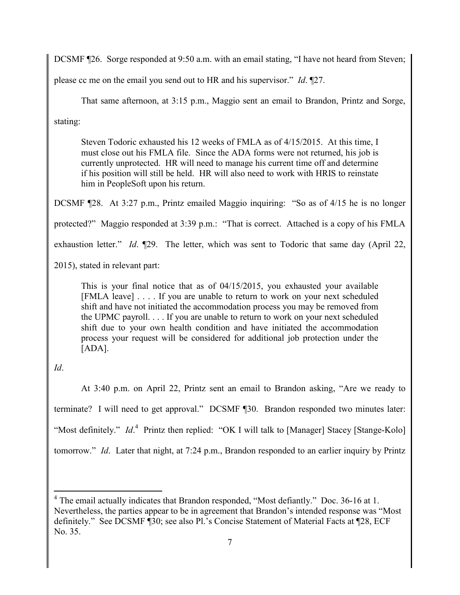DCSMF ¶26. Sorge responded at 9:50 a.m. with an email stating, "I have not heard from Steven;

please cc me on the email you send out to HR and his supervisor." *Id*. ¶27.

That same afternoon, at 3:15 p.m., Maggio sent an email to Brandon, Printz and Sorge,

stating:

Steven Todoric exhausted his 12 weeks of FMLA as of 4/15/2015. At this time, I must close out his FMLA file. Since the ADA forms were not returned, his job is currently unprotected. HR will need to manage his current time off and determine if his position will still be held. HR will also need to work with HRIS to reinstate him in PeopleSoft upon his return.

DCSMF ¶28. At 3:27 p.m., Printz emailed Maggio inquiring: "So as of 4/15 he is no longer

protected?" Maggio responded at 3:39 p.m.: "That is correct. Attached is a copy of his FMLA

exhaustion letter." *Id*. ¶29. The letter, which was sent to Todoric that same day (April 22,

2015), stated in relevant part:

This is your final notice that as of 04/15/2015, you exhausted your available [FMLA leave] . . . . If you are unable to return to work on your next scheduled shift and have not initiated the accommodation process you may be removed from the UPMC payroll. . . . If you are unable to return to work on your next scheduled shift due to your own health condition and have initiated the accommodation process your request will be considered for additional job protection under the [ADA].

*Id*.

 $\overline{a}$ 

At 3:40 p.m. on April 22, Printz sent an email to Brandon asking, "Are we ready to terminate? I will need to get approval." DCSMF ¶30. Brandon responded two minutes later: "Most definitely." *Id*.<sup>4</sup> Printz then replied: "OK I will talk to [Manager] Stacey [Stange-Kolo] tomorrow." *Id*. Later that night, at 7:24 p.m., Brandon responded to an earlier inquiry by Printz

<sup>&</sup>lt;sup>4</sup> The email actually indicates that Brandon responded, "Most defiantly." Doc. 36-16 at 1. Nevertheless, the parties appear to be in agreement that Brandon's intended response was "Most definitely." See DCSMF ¶30; see also Pl.'s Concise Statement of Material Facts at ¶28, ECF No. 35.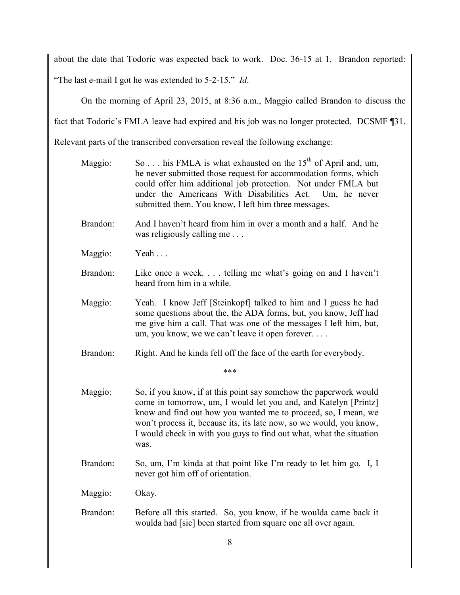about the date that Todoric was expected back to work. Doc. 36-15 at 1. Brandon reported: "The last e-mail I got he was extended to 5-2-15." *Id*.

On the morning of April 23, 2015, at 8:36 a.m., Maggio called Brandon to discuss the

fact that Todoric's FMLA leave had expired and his job was no longer protected. DCSMF ¶31.

Relevant parts of the transcribed conversation reveal the following exchange:

- Maggio: So . . . his FMLA is what exhausted on the  $15<sup>th</sup>$  of April and, um, he never submitted those request for accommodation forms, which could offer him additional job protection. Not under FMLA but under the Americans With Disabilities Act. Um, he never submitted them. You know, I left him three messages.
- Brandon: And I haven't heard from him in over a month and a half. And he was religiously calling me . . .
- Maggio: Yeah ...
- Brandon: Like once a week. . . . telling me what's going on and I haven't heard from him in a while.
- Maggio: Yeah. I know Jeff [Steinkopf] talked to him and I guess he had some questions about the, the ADA forms, but, you know, Jeff had me give him a call. That was one of the messages I left him, but, um, you know, we we can't leave it open forever. . . .
- Brandon: Right. And he kinda fell off the face of the earth for everybody.

\*\*\*

- Maggio: So, if you know, if at this point say somehow the paperwork would come in tomorrow, um, I would let you and, and Katelyn [Printz] know and find out how you wanted me to proceed, so, I mean, we won't process it, because its, its late now, so we would, you know, I would check in with you guys to find out what, what the situation was.
- Brandon: So, um, I'm kinda at that point like I'm ready to let him go. I, I never got him off of orientation.
- Maggio: Okay.
- Brandon: Before all this started. So, you know, if he woulda came back it woulda had [sic] been started from square one all over again.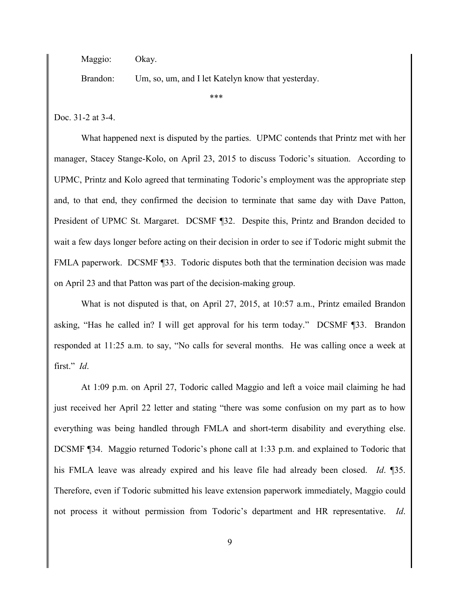Maggio: Okay.

Brandon: Um, so, um, and I let Katelyn know that yesterday.

\*\*\*

Doc. 31-2 at 3-4.

What happened next is disputed by the parties. UPMC contends that Printz met with her manager, Stacey Stange-Kolo, on April 23, 2015 to discuss Todoric's situation. According to UPMC, Printz and Kolo agreed that terminating Todoric's employment was the appropriate step and, to that end, they confirmed the decision to terminate that same day with Dave Patton, President of UPMC St. Margaret. DCSMF ¶32. Despite this, Printz and Brandon decided to wait a few days longer before acting on their decision in order to see if Todoric might submit the FMLA paperwork. DCSMF [33. Todoric disputes both that the termination decision was made on April 23 and that Patton was part of the decision-making group.

What is not disputed is that, on April 27, 2015, at 10:57 a.m., Printz emailed Brandon asking, "Has he called in? I will get approval for his term today." DCSMF ¶33. Brandon responded at 11:25 a.m. to say, "No calls for several months. He was calling once a week at first." *Id*.

At 1:09 p.m. on April 27, Todoric called Maggio and left a voice mail claiming he had just received her April 22 letter and stating "there was some confusion on my part as to how everything was being handled through FMLA and short-term disability and everything else. DCSMF ¶34. Maggio returned Todoric's phone call at 1:33 p.m. and explained to Todoric that his FMLA leave was already expired and his leave file had already been closed. *Id*. ¶35. Therefore, even if Todoric submitted his leave extension paperwork immediately, Maggio could not process it without permission from Todoric's department and HR representative. *Id*.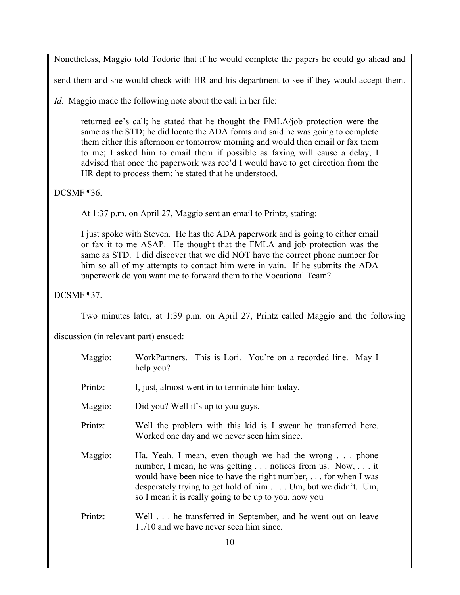Nonetheless, Maggio told Todoric that if he would complete the papers he could go ahead and

send them and she would check with HR and his department to see if they would accept them.

*Id.* Maggio made the following note about the call in her file:

returned ee's call; he stated that he thought the FMLA/job protection were the same as the STD; he did locate the ADA forms and said he was going to complete them either this afternoon or tomorrow morning and would then email or fax them to me; I asked him to email them if possible as faxing will cause a delay; I advised that once the paperwork was rec'd I would have to get direction from the HR dept to process them; he stated that he understood.

### DCSMF ¶36.

At 1:37 p.m. on April 27, Maggio sent an email to Printz, stating:

I just spoke with Steven. He has the ADA paperwork and is going to either email or fax it to me ASAP. He thought that the FMLA and job protection was the same as STD. I did discover that we did NOT have the correct phone number for him so all of my attempts to contact him were in vain. If he submits the ADA paperwork do you want me to forward them to the Vocational Team?

DCSMF ¶37.

Two minutes later, at 1:39 p.m. on April 27, Printz called Maggio and the following

discussion (in relevant part) ensued:

| Maggio: | WorkPartners. This is Lori. You're on a recorded line. May I<br>help you?                                                                                                                                                                                                                                  |
|---------|------------------------------------------------------------------------------------------------------------------------------------------------------------------------------------------------------------------------------------------------------------------------------------------------------------|
| Printz: | I, just, almost went in to terminate him today.                                                                                                                                                                                                                                                            |
| Maggio: | Did you? Well it's up to you guys.                                                                                                                                                                                                                                                                         |
| Printz: | Well the problem with this kid is I swear he transferred here.<br>Worked one day and we never seen him since.                                                                                                                                                                                              |
| Maggio: | Ha. Yeah. I mean, even though we had the wrong phone<br>number, I mean, he was getting notices from us. Now, it<br>would have been nice to have the right number,  for when I was<br>desperately trying to get hold of him Um, but we didn't. Um,<br>so I mean it is really going to be up to you, how you |
| Printz: | Well he transferred in September, and he went out on leave<br>11/10 and we have never seen him since.                                                                                                                                                                                                      |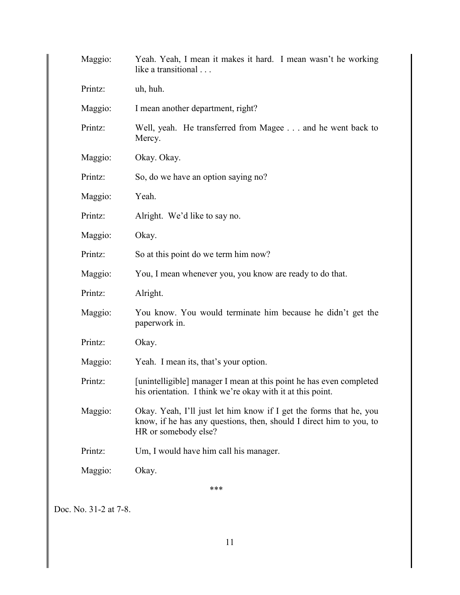| Printz: | uh, huh.                                                                                                                                                          |
|---------|-------------------------------------------------------------------------------------------------------------------------------------------------------------------|
| Maggio: | I mean another department, right?                                                                                                                                 |
| Printz: | Well, yeah. He transferred from Magee and he went back to<br>Mercy.                                                                                               |
| Maggio: | Okay. Okay.                                                                                                                                                       |
| Printz: | So, do we have an option saying no?                                                                                                                               |
| Maggio: | Yeah.                                                                                                                                                             |
| Printz: | Alright. We'd like to say no.                                                                                                                                     |
| Maggio: | Okay.                                                                                                                                                             |
| Printz: | So at this point do we term him now?                                                                                                                              |
| Maggio: | You, I mean whenever you, you know are ready to do that.                                                                                                          |
| Printz: | Alright.                                                                                                                                                          |
| Maggio: | You know. You would terminate him because he didn't get the<br>paperwork in.                                                                                      |
| Printz: | Okay.                                                                                                                                                             |
| Maggio: | Yeah. I mean its, that's your option.                                                                                                                             |
| Printz: | [unintelligible] manager I mean at this point he has even completed<br>his orientation. I think we're okay with it at this point.                                 |
| Maggio: | Okay. Yeah, I'll just let him know if I get the forms that he, you<br>know, if he has any questions, then, should I direct him to you, to<br>HR or somebody else? |
| Printz: | Um, I would have him call his manager.                                                                                                                            |
| Maggio: | Okay.                                                                                                                                                             |
|         | ***                                                                                                                                                               |

Doc. No. 31-2 at 7-8.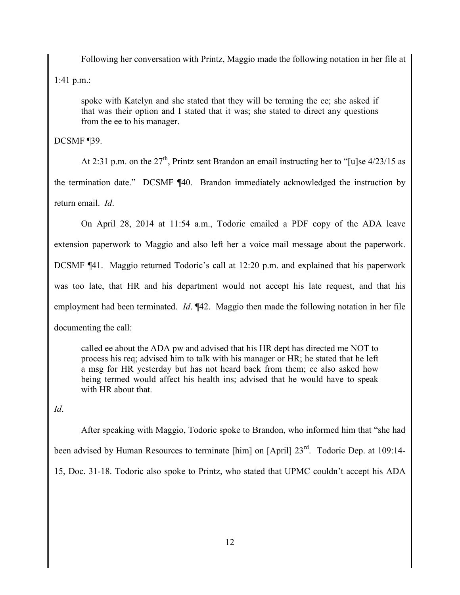Following her conversation with Printz, Maggio made the following notation in her file at 1:41 p.m.:

spoke with Katelyn and she stated that they will be terming the ee; she asked if that was their option and I stated that it was; she stated to direct any questions from the ee to his manager.

DCSMF ¶39.

At 2:31 p.m. on the  $27<sup>th</sup>$ , Printz sent Brandon an email instructing her to "[u]se  $4/23/15$  as the termination date." DCSMF ¶40. Brandon immediately acknowledged the instruction by return email. *Id*.

On April 28, 2014 at 11:54 a.m., Todoric emailed a PDF copy of the ADA leave extension paperwork to Maggio and also left her a voice mail message about the paperwork. DCSMF ¶41. Maggio returned Todoric's call at 12:20 p.m. and explained that his paperwork was too late, that HR and his department would not accept his late request, and that his employment had been terminated. *Id*. ¶42. Maggio then made the following notation in her file documenting the call:

called ee about the ADA pw and advised that his HR dept has directed me NOT to process his req; advised him to talk with his manager or HR; he stated that he left a msg for HR yesterday but has not heard back from them; ee also asked how being termed would affect his health ins; advised that he would have to speak with HR about that.

*Id*.

After speaking with Maggio, Todoric spoke to Brandon, who informed him that "she had been advised by Human Resources to terminate [him] on [April]  $23<sup>rd</sup>$ . Todoric Dep. at 109:14-15, Doc. 31-18. Todoric also spoke to Printz, who stated that UPMC couldn't accept his ADA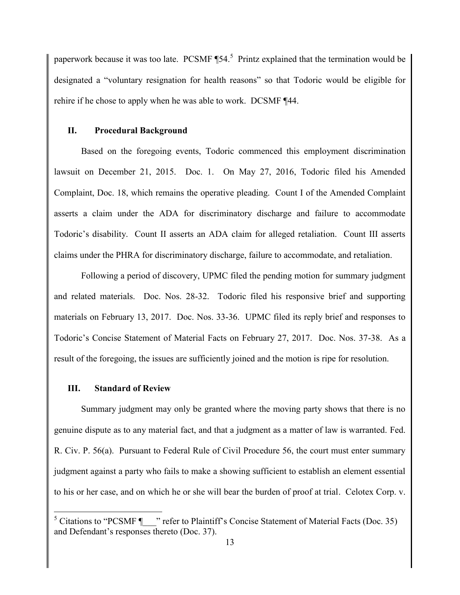paperwork because it was too late. PCSMF  $\P$ 54.<sup>5</sup> Printz explained that the termination would be designated a "voluntary resignation for health reasons" so that Todoric would be eligible for rehire if he chose to apply when he was able to work. DCSMF ¶44.

#### **II. Procedural Background**

Based on the foregoing events, Todoric commenced this employment discrimination lawsuit on December 21, 2015. Doc. 1. On May 27, 2016, Todoric filed his Amended Complaint, Doc. 18, which remains the operative pleading. Count I of the Amended Complaint asserts a claim under the ADA for discriminatory discharge and failure to accommodate Todoric's disability. Count II asserts an ADA claim for alleged retaliation. Count III asserts claims under the PHRA for discriminatory discharge, failure to accommodate, and retaliation.

Following a period of discovery, UPMC filed the pending motion for summary judgment and related materials. Doc. Nos. 28-32. Todoric filed his responsive brief and supporting materials on February 13, 2017. Doc. Nos. 33-36. UPMC filed its reply brief and responses to Todoric's Concise Statement of Material Facts on February 27, 2017. Doc. Nos. 37-38. As a result of the foregoing, the issues are sufficiently joined and the motion is ripe for resolution.

#### **III. Standard of Review**

 $\overline{a}$ 

Summary judgment may only be granted where the moving party shows that there is no genuine dispute as to any material fact, and that a judgment as a matter of law is warranted. Fed. R. Civ. P. 56(a). Pursuant to Federal Rule of Civil Procedure 56, the court must enter summary judgment against a party who fails to make a showing sufficient to establish an element essential to his or her case, and on which he or she will bear the burden of proof at trial. Celotex Corp. v.

 $5$  Citations to "PCSMF  $\parallel$  " refer to Plaintiff's Concise Statement of Material Facts (Doc. 35) and Defendant's responses thereto (Doc. 37).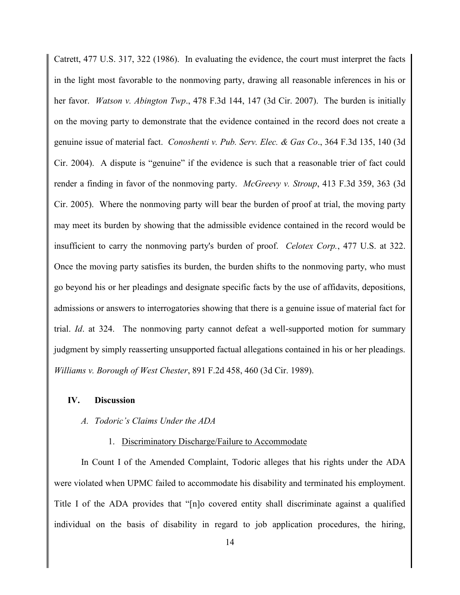Catrett, 477 U.S. 317, 322 (1986). In evaluating the evidence, the court must interpret the facts in the light most favorable to the nonmoving party, drawing all reasonable inferences in his or her favor. *Watson v. Abington Twp*., 478 F.3d 144, 147 (3d Cir. 2007). The burden is initially on the moving party to demonstrate that the evidence contained in the record does not create a genuine issue of material fact. *Conoshenti v. Pub. Serv. Elec. & Gas Co*., 364 F.3d 135, 140 (3d Cir. 2004). A dispute is "genuine" if the evidence is such that a reasonable trier of fact could render a finding in favor of the nonmoving party. *McGreevy v. Stroup*, 413 F.3d 359, 363 (3d Cir. 2005). Where the nonmoving party will bear the burden of proof at trial, the moving party may meet its burden by showing that the admissible evidence contained in the record would be insufficient to carry the nonmoving party's burden of proof. *Celotex Corp.*, 477 U.S. at 322. Once the moving party satisfies its burden, the burden shifts to the nonmoving party, who must go beyond his or her pleadings and designate specific facts by the use of affidavits, depositions, admissions or answers to interrogatories showing that there is a genuine issue of material fact for trial. *Id*. at 324. The nonmoving party cannot defeat a well-supported motion for summary judgment by simply reasserting unsupported factual allegations contained in his or her pleadings. *Williams v. Borough of West Chester*, 891 F.2d 458, 460 (3d Cir. 1989).

#### **IV. Discussion**

#### *A. Todoric's Claims Under the ADA*

#### 1. Discriminatory Discharge/Failure to Accommodate

In Count I of the Amended Complaint, Todoric alleges that his rights under the ADA were violated when UPMC failed to accommodate his disability and terminated his employment. Title I of the ADA provides that "[n]o covered entity shall discriminate against a qualified individual on the basis of disability in regard to job application procedures, the hiring,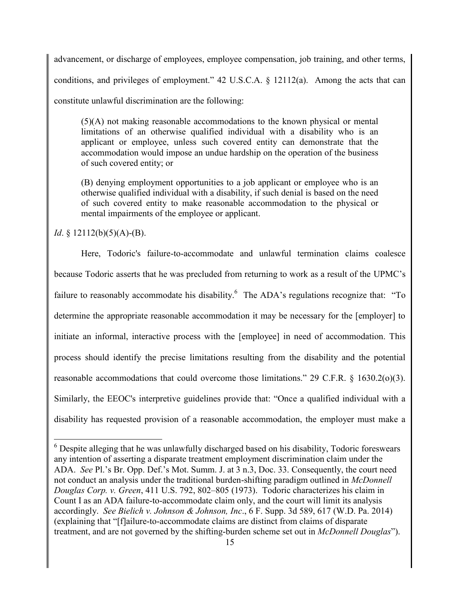advancement, or discharge of employees, employee compensation, job training, and other terms, conditions, and privileges of employment." 42 U.S.C.A. § 12112(a). Among the acts that can constitute unlawful discrimination are the following:

(5)(A) not making reasonable accommodations to the known physical or mental limitations of an otherwise qualified individual with a disability who is an applicant or employee, unless such covered entity can demonstrate that the accommodation would impose an undue hardship on the operation of the business of such covered entity; or

(B) denying employment opportunities to a job applicant or employee who is an otherwise qualified individual with a disability, if such denial is based on the need of such covered entity to make reasonable accommodation to the physical or mental impairments of the employee or applicant.

*Id*. § 12112(b)(5)(A)-(B).

 $\overline{a}$ 

Here, Todoric's failure-to-accommodate and unlawful termination claims coalesce because Todoric asserts that he was precluded from returning to work as a result of the UPMC's failure to reasonably accommodate his disability.<sup>6</sup> The ADA's regulations recognize that: "To determine the appropriate reasonable accommodation it may be necessary for the [employer] to initiate an informal, interactive process with the [employee] in need of accommodation. This process should identify the precise limitations resulting from the disability and the potential reasonable accommodations that could overcome those limitations." 29 C.F.R. § 1630.2(o)(3). Similarly, the EEOC's interpretive guidelines provide that: "Once a qualified individual with a disability has requested provision of a reasonable accommodation, the employer must make a

<sup>6</sup> Despite alleging that he was unlawfully discharged based on his disability, Todoric foreswears any intention of asserting a disparate treatment employment discrimination claim under the ADA. *See* Pl.'s Br. Opp. Def.'s Mot. Summ. J. at 3 n.3, Doc. 33. Consequently, the court need not conduct an analysis under the traditional burden-shifting paradigm outlined in *McDonnell Douglas Corp. v. Green*, 411 U.S. 792, 802–805 (1973). Todoric characterizes his claim in Count I as an ADA failure-to-accommodate claim only, and the court will limit its analysis accordingly. *See Bielich v. Johnson & Johnson, Inc*., 6 F. Supp. 3d 589, 617 (W.D. Pa. 2014) (explaining that "[f]ailure-to-accommodate claims are distinct from claims of disparate treatment, and are not governed by the shifting-burden scheme set out in *McDonnell Douglas*").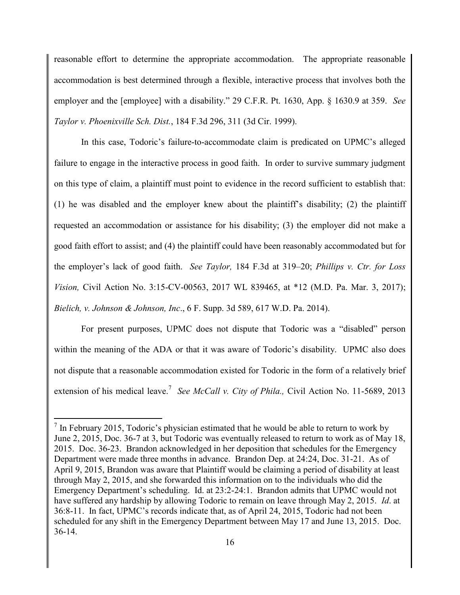reasonable effort to determine the appropriate accommodation. The appropriate reasonable accommodation is best determined through a flexible, interactive process that involves both the employer and the [employee] with a disability." 29 C.F.R. Pt. 1630, App. § 1630.9 at 359. *See Taylor v. Phoenixville Sch. Dist.*, 184 F.3d 296, 311 (3d Cir. 1999).

In this case, Todoric's failure-to-accommodate claim is predicated on UPMC's alleged failure to engage in the interactive process in good faith. In order to survive summary judgment on this type of claim, a plaintiff must point to evidence in the record sufficient to establish that: (1) he was disabled and the employer knew about the plaintiff's disability; (2) the plaintiff requested an accommodation or assistance for his disability; (3) the employer did not make a good faith effort to assist; and (4) the plaintiff could have been reasonably accommodated but for the employer's lack of good faith. *See Taylor,* 184 F.3d at 319–20; *Phillips v. Ctr. for Loss Vision,* Civil Action No. 3:15-CV-00563, 2017 WL 839465, at \*12 (M.D. Pa. Mar. 3, 2017); *Bielich, v. Johnson & Johnson, Inc*., 6 F. Supp. 3d 589, 617 W.D. Pa. 2014).

For present purposes, UPMC does not dispute that Todoric was a "disabled" person within the meaning of the ADA or that it was aware of Todoric's disability. UPMC also does not dispute that a reasonable accommodation existed for Todoric in the form of a relatively brief extension of his medical leave.<sup>7</sup> See McCall v. City of Phila., Civil Action No. 11-5689, 2013

 $\overline{a}$ 

 $<sup>7</sup>$  In February 2015, Todoric's physician estimated that he would be able to return to work by</sup> June 2, 2015, Doc. 36-7 at 3, but Todoric was eventually released to return to work as of May 18, 2015. Doc. 36-23. Brandon acknowledged in her deposition that schedules for the Emergency Department were made three months in advance. Brandon Dep. at 24:24, Doc. 31-21. As of April 9, 2015, Brandon was aware that Plaintiff would be claiming a period of disability at least through May 2, 2015, and she forwarded this information on to the individuals who did the Emergency Department's scheduling. Id. at 23:2-24:1. Brandon admits that UPMC would not have suffered any hardship by allowing Todoric to remain on leave through May 2, 2015. *Id*. at 36:8-11. In fact, UPMC's records indicate that, as of April 24, 2015, Todoric had not been scheduled for any shift in the Emergency Department between May 17 and June 13, 2015. Doc. 36-14.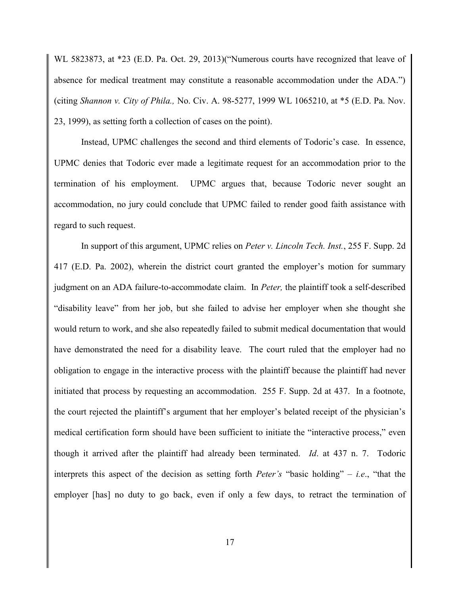WL 5823873, at \*23 (E.D. Pa. Oct. 29, 2013)("Numerous courts have recognized that leave of absence for medical treatment may constitute a reasonable accommodation under the ADA.") (citing *Shannon v. City of Phila.,* No. Civ. A. 98-5277, 1999 WL 1065210, at \*5 (E.D. Pa. Nov. 23, 1999), as setting forth a collection of cases on the point).

Instead, UPMC challenges the second and third elements of Todoric's case. In essence, UPMC denies that Todoric ever made a legitimate request for an accommodation prior to the termination of his employment. UPMC argues that, because Todoric never sought an accommodation, no jury could conclude that UPMC failed to render good faith assistance with regard to such request.

In support of this argument, UPMC relies on *Peter v. Lincoln Tech. Inst.*, 255 F. Supp. 2d 417 (E.D. Pa. 2002), wherein the district court granted the employer's motion for summary judgment on an ADA failure-to-accommodate claim. In *Peter,* the plaintiff took a self-described "disability leave" from her job, but she failed to advise her employer when she thought she would return to work, and she also repeatedly failed to submit medical documentation that would have demonstrated the need for a disability leave. The court ruled that the employer had no obligation to engage in the interactive process with the plaintiff because the plaintiff had never initiated that process by requesting an accommodation. 255 F. Supp. 2d at 437. In a footnote, the court rejected the plaintiff's argument that her employer's belated receipt of the physician's medical certification form should have been sufficient to initiate the "interactive process," even though it arrived after the plaintiff had already been terminated. *Id*. at 437 n. 7. Todoric interprets this aspect of the decision as setting forth *Peter's* "basic holding" – *i.e*., "that the employer [has] no duty to go back, even if only a few days, to retract the termination of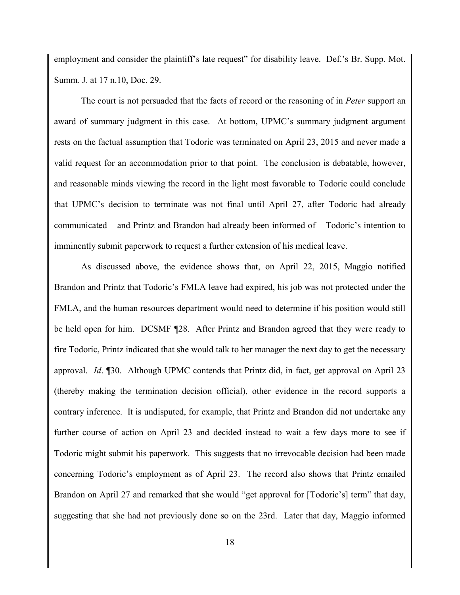employment and consider the plaintiff's late request" for disability leave. Def.'s Br. Supp. Mot. Summ. J. at 17 n.10, Doc. 29.

The court is not persuaded that the facts of record or the reasoning of in *Peter* support an award of summary judgment in this case. At bottom, UPMC's summary judgment argument rests on the factual assumption that Todoric was terminated on April 23, 2015 and never made a valid request for an accommodation prior to that point. The conclusion is debatable, however, and reasonable minds viewing the record in the light most favorable to Todoric could conclude that UPMC's decision to terminate was not final until April 27, after Todoric had already communicated – and Printz and Brandon had already been informed of – Todoric's intention to imminently submit paperwork to request a further extension of his medical leave.

As discussed above, the evidence shows that, on April 22, 2015, Maggio notified Brandon and Printz that Todoric's FMLA leave had expired, his job was not protected under the FMLA, and the human resources department would need to determine if his position would still be held open for him. DCSMF ¶28. After Printz and Brandon agreed that they were ready to fire Todoric, Printz indicated that she would talk to her manager the next day to get the necessary approval. *Id*. ¶30. Although UPMC contends that Printz did, in fact, get approval on April 23 (thereby making the termination decision official), other evidence in the record supports a contrary inference. It is undisputed, for example, that Printz and Brandon did not undertake any further course of action on April 23 and decided instead to wait a few days more to see if Todoric might submit his paperwork. This suggests that no irrevocable decision had been made concerning Todoric's employment as of April 23. The record also shows that Printz emailed Brandon on April 27 and remarked that she would "get approval for [Todoric's] term" that day, suggesting that she had not previously done so on the 23rd. Later that day, Maggio informed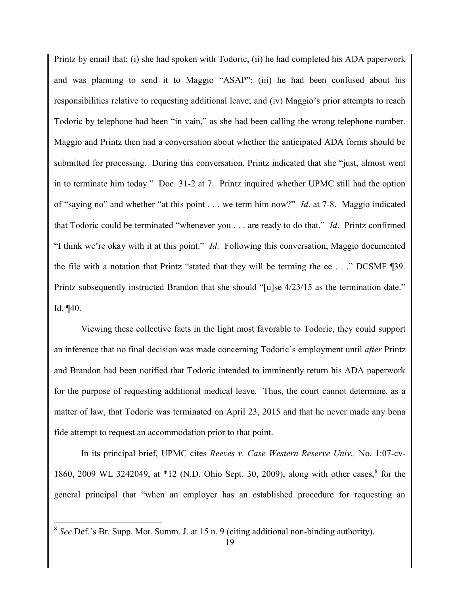Printz by email that: (i) she had spoken with Todoric, (ii) he had completed his ADA paperwork and was planning to send it to Maggio "ASAP"; (iii) he had been confused about his responsibilities relative to requesting additional leave; and (iv) Maggio's prior attempts to reach Todoric by telephone had been "in vain," as she had been calling the wrong telephone number. Maggio and Printz then had a conversation about whether the anticipated ADA forms should be submitted for processing. During this conversation, Printz indicated that she "just, almost went in to terminate him today." Doc. 31-2 at 7. Printz inquired whether UPMC still had the option of "saying no" and whether "at this point . . . we term him now?" *Id*. at 7-8. Maggio indicated that Todoric could be terminated "whenever you . . . are ready to do that." *Id*. Printz confirmed "I think we're okay with it at this point." *Id*. Following this conversation, Maggio documented the file with a notation that Printz "stated that they will be terming the ee . . ." DCSMF ¶39. Printz subsequently instructed Brandon that she should "[u]se  $4/23/15$  as the termination date." Id. ¶40.

Viewing these collective facts in the light most favorable to Todoric, they could support an inference that no final decision was made concerning Todoric's employment until *after* Printz and Brandon had been notified that Todoric intended to imminently return his ADA paperwork for the purpose of requesting additional medical leave. Thus, the court cannot determine, as a matter of law, that Todoric was terminated on April 23, 2015 and that he never made any bona fide attempt to request an accommodation prior to that point.

In its principal brief, UPMC cites *Reeves v. Case Western Reserve Univ.,* No. 1:07-cv-1860, 2009 WL 3242049, at \*12 (N.D. Ohio Sept. 30, 2009), along with other cases,  $8$  for the general principal that "when an employer has an established procedure for requesting an

<sup>&</sup>lt;sup>8</sup> See Def.'s Br. Supp. Mot. Summ. J. at 15 n. 9 (citing additional non-binding authority).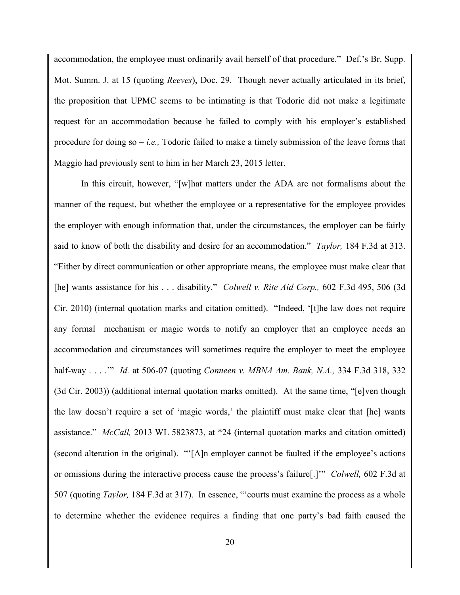accommodation, the employee must ordinarily avail herself of that procedure." Def.'s Br. Supp. Mot. Summ. J. at 15 (quoting *Reeves*), Doc. 29. Though never actually articulated in its brief, the proposition that UPMC seems to be intimating is that Todoric did not make a legitimate request for an accommodation because he failed to comply with his employer's established procedure for doing so – *i.e.,* Todoric failed to make a timely submission of the leave forms that Maggio had previously sent to him in her March 23, 2015 letter.

In this circuit, however, "[w]hat matters under the ADA are not formalisms about the manner of the request, but whether the employee or a representative for the employee provides the employer with enough information that, under the circumstances, the employer can be fairly said to know of both the disability and desire for an accommodation." *Taylor,* 184 F.3d at 313. "Either by direct communication or other appropriate means, the employee must make clear that [he] wants assistance for his . . . disability." *Colwell v. Rite Aid Corp.,* 602 F.3d 495, 506 (3d Cir. 2010) (internal quotation marks and citation omitted). "Indeed, '[t]he law does not require any formal mechanism or magic words to notify an employer that an employee needs an accommodation and circumstances will sometimes require the employer to meet the employee half-way . . . .'" *Id.* at 506-07 (quoting *Conneen v. MBNA Am. Bank, N.A.,* 334 F.3d 318, 332 (3d Cir. 2003)) (additional internal quotation marks omitted). At the same time, "[e]ven though the law doesn't require a set of 'magic words,' the plaintiff must make clear that [he] wants assistance." *McCall,* 2013 WL 5823873, at \*24 (internal quotation marks and citation omitted) (second alteration in the original). "'[A]n employer cannot be faulted if the employee's actions or omissions during the interactive process cause the process's failure[.]'" *Colwell,* 602 F.3d at 507 (quoting *Taylor,* 184 F.3d at 317). In essence, "'courts must examine the process as a whole to determine whether the evidence requires a finding that one party's bad faith caused the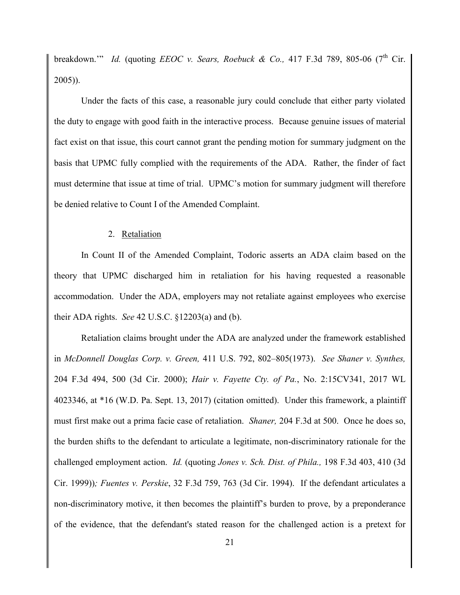breakdown." *Id.* (quoting *EEOC v. Sears, Roebuck & Co.,* 417 F.3d 789, 805-06 (7<sup>th</sup> Cir.) 2005)).

Under the facts of this case, a reasonable jury could conclude that either party violated the duty to engage with good faith in the interactive process. Because genuine issues of material fact exist on that issue, this court cannot grant the pending motion for summary judgment on the basis that UPMC fully complied with the requirements of the ADA. Rather, the finder of fact must determine that issue at time of trial. UPMC's motion for summary judgment will therefore be denied relative to Count I of the Amended Complaint.

### 2. Retaliation

In Count II of the Amended Complaint, Todoric asserts an ADA claim based on the theory that UPMC discharged him in retaliation for his having requested a reasonable accommodation. Under the ADA, employers may not retaliate against employees who exercise their ADA rights. *See* 42 U.S.C. §12203(a) and (b).

Retaliation claims brought under the ADA are analyzed under the framework established in *McDonnell Douglas Corp. v. Green,* 411 U.S. 792, 802–805(1973). *See Shaner v. Synthes,* 204 F.3d 494, 500 (3d Cir. 2000); *Hair v. Fayette Cty. of Pa.*, No. 2:15CV341, 2017 WL 4023346, at \*16 (W.D. Pa. Sept. 13, 2017) (citation omitted). Under this framework, a plaintiff must first make out a prima facie case of retaliation. *Shaner,* 204 F.3d at 500. Once he does so, the burden shifts to the defendant to articulate a legitimate, non-discriminatory rationale for the challenged employment action. *Id.* (quoting *Jones v. Sch. Dist. of Phila.,* 198 F.3d 403, 410 (3d Cir. 1999))*; Fuentes v. Perskie*, 32 F.3d 759, 763 (3d Cir. 1994). If the defendant articulates a non-discriminatory motive, it then becomes the plaintiff's burden to prove, by a preponderance of the evidence, that the defendant's stated reason for the challenged action is a pretext for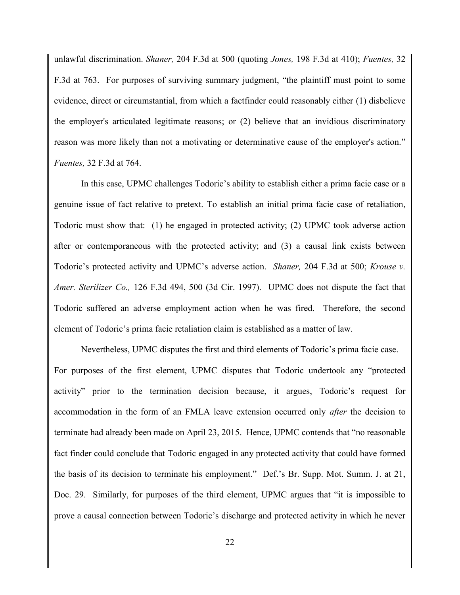unlawful discrimination. *Shaner,* 204 F.3d at 500 (quoting *Jones,* 198 F.3d at 410); *Fuentes,* 32 F.3d at 763. For purposes of surviving summary judgment, "the plaintiff must point to some evidence, direct or circumstantial, from which a factfinder could reasonably either (1) disbelieve the employer's articulated legitimate reasons; or (2) believe that an invidious discriminatory reason was more likely than not a motivating or determinative cause of the employer's action." *Fuentes,* 32 F.3d at 764.

In this case, UPMC challenges Todoric's ability to establish either a prima facie case or a genuine issue of fact relative to pretext. To establish an initial prima facie case of retaliation, Todoric must show that: (1) he engaged in protected activity; (2) UPMC took adverse action after or contemporaneous with the protected activity; and (3) a causal link exists between Todoric's protected activity and UPMC's adverse action. *Shaner,* 204 F.3d at 500; *Krouse v. Amer. Sterilizer Co.,* 126 F.3d 494, 500 (3d Cir. 1997). UPMC does not dispute the fact that Todoric suffered an adverse employment action when he was fired. Therefore, the second element of Todoric's prima facie retaliation claim is established as a matter of law.

Nevertheless, UPMC disputes the first and third elements of Todoric's prima facie case. For purposes of the first element, UPMC disputes that Todoric undertook any "protected activity" prior to the termination decision because, it argues, Todoric's request for accommodation in the form of an FMLA leave extension occurred only *after* the decision to terminate had already been made on April 23, 2015. Hence, UPMC contends that "no reasonable fact finder could conclude that Todoric engaged in any protected activity that could have formed the basis of its decision to terminate his employment." Def.'s Br. Supp. Mot. Summ. J. at 21, Doc. 29. Similarly, for purposes of the third element, UPMC argues that "it is impossible to prove a causal connection between Todoric's discharge and protected activity in which he never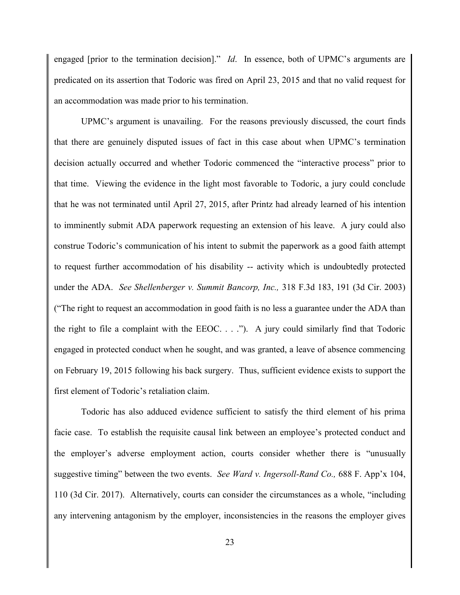engaged [prior to the termination decision]." *Id*. In essence, both of UPMC's arguments are predicated on its assertion that Todoric was fired on April 23, 2015 and that no valid request for an accommodation was made prior to his termination.

UPMC's argument is unavailing. For the reasons previously discussed, the court finds that there are genuinely disputed issues of fact in this case about when UPMC's termination decision actually occurred and whether Todoric commenced the "interactive process" prior to that time. Viewing the evidence in the light most favorable to Todoric, a jury could conclude that he was not terminated until April 27, 2015, after Printz had already learned of his intention to imminently submit ADA paperwork requesting an extension of his leave. A jury could also construe Todoric's communication of his intent to submit the paperwork as a good faith attempt to request further accommodation of his disability -- activity which is undoubtedly protected under the ADA. *See Shellenberger v. Summit Bancorp, Inc.,* 318 F.3d 183, 191 (3d Cir. 2003) ("The right to request an accommodation in good faith is no less a guarantee under the ADA than the right to file a complaint with the EEOC. . . ."). A jury could similarly find that Todoric engaged in protected conduct when he sought, and was granted, a leave of absence commencing on February 19, 2015 following his back surgery. Thus, sufficient evidence exists to support the first element of Todoric's retaliation claim.

Todoric has also adduced evidence sufficient to satisfy the third element of his prima facie case. To establish the requisite causal link between an employee's protected conduct and the employer's adverse employment action, courts consider whether there is "unusually suggestive timing" between the two events. *See Ward v. Ingersoll-Rand Co.,* 688 F. App'x 104, 110 (3d Cir. 2017). Alternatively, courts can consider the circumstances as a whole, "including any intervening antagonism by the employer, inconsistencies in the reasons the employer gives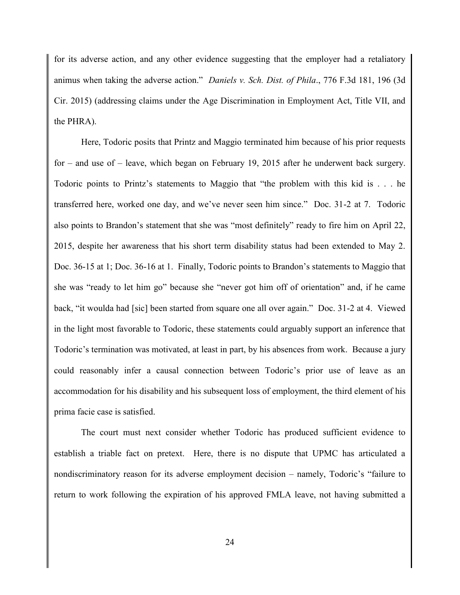for its adverse action, and any other evidence suggesting that the employer had a retaliatory animus when taking the adverse action." *Daniels v. Sch. Dist. of Phila*., 776 F.3d 181, 196 (3d Cir. 2015) (addressing claims under the Age Discrimination in Employment Act, Title VII, and the PHRA).

Here, Todoric posits that Printz and Maggio terminated him because of his prior requests for – and use of – leave, which began on February 19, 2015 after he underwent back surgery. Todoric points to Printz's statements to Maggio that "the problem with this kid is . . . he transferred here, worked one day, and we've never seen him since." Doc. 31-2 at 7. Todoric also points to Brandon's statement that she was "most definitely" ready to fire him on April 22, 2015, despite her awareness that his short term disability status had been extended to May 2. Doc. 36-15 at 1; Doc. 36-16 at 1. Finally, Todoric points to Brandon's statements to Maggio that she was "ready to let him go" because she "never got him off of orientation" and, if he came back, "it woulda had [sic] been started from square one all over again." Doc. 31-2 at 4. Viewed in the light most favorable to Todoric, these statements could arguably support an inference that Todoric's termination was motivated, at least in part, by his absences from work. Because a jury could reasonably infer a causal connection between Todoric's prior use of leave as an accommodation for his disability and his subsequent loss of employment, the third element of his prima facie case is satisfied.

The court must next consider whether Todoric has produced sufficient evidence to establish a triable fact on pretext. Here, there is no dispute that UPMC has articulated a nondiscriminatory reason for its adverse employment decision – namely, Todoric's "failure to return to work following the expiration of his approved FMLA leave, not having submitted a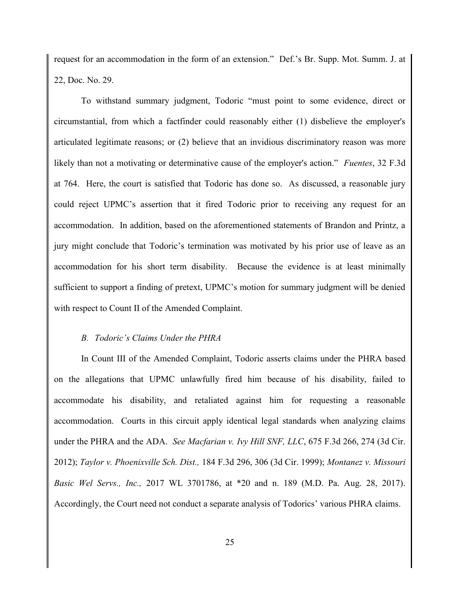request for an accommodation in the form of an extension." Def.'s Br. Supp. Mot. Summ. J. at 22, Doc. No. 29.

To withstand summary judgment, Todoric "must point to some evidence, direct or circumstantial, from which a factfinder could reasonably either (1) disbelieve the employer's articulated legitimate reasons; or (2) believe that an invidious discriminatory reason was more likely than not a motivating or determinative cause of the employer's action." *Fuentes*, 32 F.3d at 764. Here, the court is satisfied that Todoric has done so. As discussed, a reasonable jury could reject UPMC's assertion that it fired Todoric prior to receiving any request for an accommodation. In addition, based on the aforementioned statements of Brandon and Printz, a jury might conclude that Todoric's termination was motivated by his prior use of leave as an accommodation for his short term disability. Because the evidence is at least minimally sufficient to support a finding of pretext, UPMC's motion for summary judgment will be denied with respect to Count II of the Amended Complaint.

#### *B. Todoric's Claims Under the PHRA*

In Count III of the Amended Complaint, Todoric asserts claims under the PHRA based on the allegations that UPMC unlawfully fired him because of his disability, failed to accommodate his disability, and retaliated against him for requesting a reasonable accommodation. Courts in this circuit apply identical legal standards when analyzing claims under the PHRA and the ADA. *See Macfarian v. Ivy Hill SNF, LLC*, 675 F.3d 266, 274 (3d Cir. 2012); *Taylor v. Phoenixville Sch. Dist.,* 184 F.3d 296, 306 (3d Cir. 1999); *Montanez v. Missouri Basic Wel Servs., Inc.,* 2017 WL 3701786, at \*20 and n. 189 (M.D. Pa. Aug. 28, 2017). Accordingly, the Court need not conduct a separate analysis of Todorics' various PHRA claims.